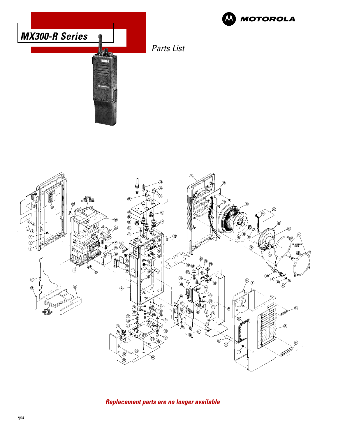

**Replacement parts are no longer available**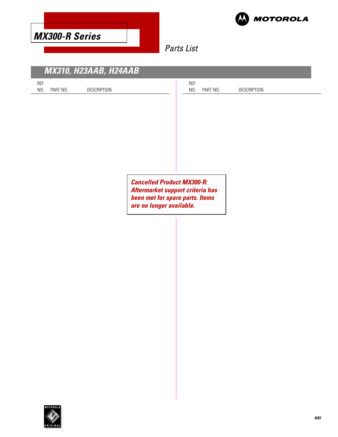



# Parts List

| <b>MX310, H23AAB, H24AAB</b>                                                                     |                                               |
|--------------------------------------------------------------------------------------------------|-----------------------------------------------|
| REF.<br>NO.<br>PART NO.<br>DESCRIPTION                                                           | REF.<br>NO.<br>PART NO.<br><b>DESCRIPTION</b> |
|                                                                                                  |                                               |
|                                                                                                  |                                               |
|                                                                                                  |                                               |
|                                                                                                  |                                               |
|                                                                                                  |                                               |
| <b>Cancelled Product MX300-R:</b><br>been met for spare parts. Items<br>are no longer available. | Aftermarket support criteria has              |
|                                                                                                  |                                               |
|                                                                                                  |                                               |
|                                                                                                  |                                               |

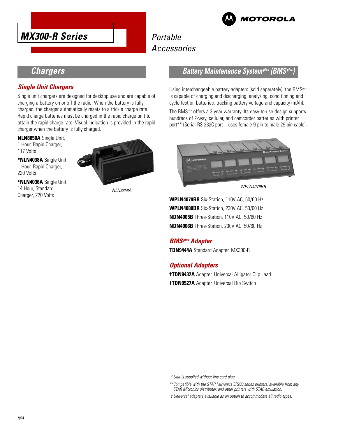

# **Portable** Accessories



## **Chargers**

#### **Single Unit Chargers**

Single unit chargers are designed for desktop use and are capable of charging a battery on or off the radio. When the battery is fully charged, the charger automatically resets to a trickle charge rate. Rapid charge batteries must be charged in the rapid charge unit to attain the rapid charge rate. Visual indication is provided in the rapid charger when the battery is fully charged.

**NLN8858A** Single Unit, 1 Hour, Rapid Charger, 117 Volts

**\*NLN4038A** Single Unit, 1 Hour, Rapid Charger, 220 Volts

**\*NLN4036A** Single Unit, 14 Hour, Standard Charger, 220 Volts



NLN8858A

### **Battery Maintenance System<sup>plus</sup> (BMS<sup>***i***</sup>**

Using interchangeable battery adapters (sold separately), the BMS<sup>plus</sup> is capable of charging and discharging, analyzing, conditioning and cycle test on batteries; tracking battery voltage and capacity (mAh).

The BMSplus offers a 3 year warranty. Its easy-to-use design supports hundreds of 2-way, cellular, and camcorder batteries with printer port\*\* (Serial-RS-232C port – uses female 9-pin to male 25-pin cable).



WPLN4079BR

**WPLN4079BR** Six-Station, 110V AC, 50/60 Hz **WPLN4080BR** Six-Station, 230V AC, 50/60 Hz **NDN4005B** Three-Station, 110V AC, 50/60 Hz **NDN4006B** Three-Station, 230V AC, 50/60 Hz

### **BMSplus Adapter**

**TDN9444A** Standard Adapter, MX300-R

### **Optional Adapters**

**†TDN9432A** Adapter, Universal Alligator Clip Lead **†TDN9527A** Adapter, Universal Dip Switch

\* Unit is supplied without line cord plug.

- \*\*Compatible with the STAR Micronics SP200 series printers, available from any STAR Micronics distributor, and other printers with STAR emulation.
- † Universal adapters available as an option to accommodate all radio types.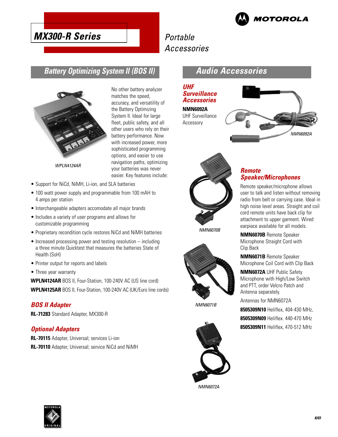

# **MX300-R Series**

# Portable Accessories

## **Battery Optimizing System II (BOS II)**



No other battery analyzer matches the speed, accuracy, and versatility of the Battery Optimizing System II. Ideal for large fleet, public safety, and all other users who rely on their battery performance. Now with increased power, more sophisticated programming options, and easier to use navigation paths, optimizing your batteries was never easier. Key features include:

WPLN4124AR

- Support for NiCd, NiMH, Li-ion, and SLA batteries
- 100 watt power supply and programmable from 100 mAH to 4 amps per station
- Interchangeable adapters accomodate all major brands
- Includes a variety of user programs and allows for customizable programming
- Proprietary recondition cycle restores NiCd and NiMH batteries
- Increased processing power and testing resolution including a three minute Quicktest that measures the batteries State of Health (SoH)
- Printer output for reports and labels
- Three year warranty

**WPLN4124AR** BOS II, Four-Station, 100-240V AC (US line cord) **WPLN4125AR** BOS II, Four-Station, 100-240V AC (UK/Euro line cords)

#### **BOS II Adapter**

**RL-71283** Standard Adapter, MX300-R

#### **Optional Adapters**

**RL-70115** Adapter, Universal; services Li-ion **RL-70110** Adapter, Universal; service NiCd and NiMH

## **Audio Accessories**

#### **UHF Surveillance Accessories**

**NMN6092A** UHF Surveillance Accessory





#### **Remote Speaker/Microphones**

Remote speaker/microphone allows user to talk and listen without removing radio from belt or carrying case. Ideal in high noise level areas. Straight and coil cord remote units have back clip for attachment to upper garment. Wired earpiece available for all models.

**NMN6070B** Remote Speaker Microphone Straight Cord with Clip Back

**NMN6071B** Remote Speaker Microphone Coil Cord with Clip Back

**NMN6072A** UHF Public Safety Microphone with High/Low Switch and PTT, order Velcro Patch and Antenna separately.

Antennas for NMN6072A

**8505309N10** Heliflex, 404-430 MHz, **8505309N09** Heliflex. 440-470 MHz **8505309N11** Heliflex, 470-512 MHz



NMN6071B

NMN6072A

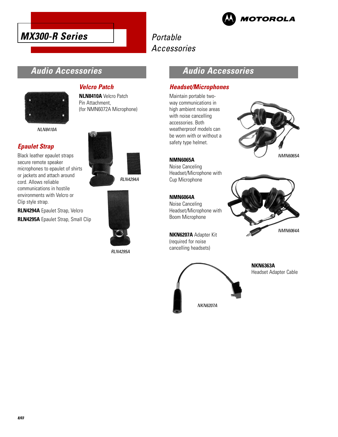



# Portable Accessories

## **Audio Accessories**

**Velcro Patch**

**NLN8410A** Velcro Patch Pin Attachment,

(for NMN6072A Microphone)



NLN8410A

### **Epaulet Strap**

Black leather epaulet straps secure remote speaker microphones to epaulet of shirts or jackets and attach around cord. Allows reliable communications in hostile environments with Velcro or Clip style strap.

**RLN4294A** Epaulet Strap, Velcro **RLN4295A** Epaulet Strap, Small Clip RLN4294A



RLN4295A

## **Audio Accessories**

#### **Headset/Microphones**

Maintain portable twoway communications in high ambient noise areas with noise cancelling accessories. Both weatherproof models can be worn with or without a safety type helmet.



**NMN6065A** Noise Canceling Headset/Microphone with Cup Microphone

### **NMN6064A**

Noise Canceling Headset/Microphone with Boom Microphone

**NKN6207A** Adapter Kit (required for noise cancelling headsets)





NKN6207A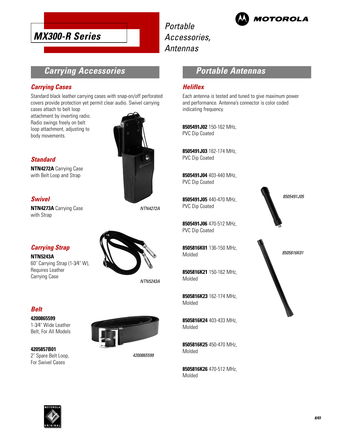

Portable Accessories, Antennas



## **Carrying Accessories**

#### **Carrying Cases**

Standard black leather carrying cases with snap-on/off perforated covers provide protection yet permit clear audio. Swivel carrying

cases attach to belt loop attachment by inverting radio. Radio swings freely on belt loop attachment, adjusting to body movements.



**Standard**

**NTN4272A** Carrying Case with Belt Loop and Strap

#### **Swivel**

**NTN4273A** Carrying Case with Strap

NTN4272A

### **Carrying Strap**

**NTN5243A**

60˝ Carrying Strap (1-3⁄4˝ W), Requires Leather Carrying Case



NTN5243A

### **Belt**

**4200865599** 1-3⁄4˝ Wide Leather

Belt, For All Models

**4205857B01**

2˝ Spare Belt Loop, For Swivel Cases



4200865599

## **Portable Antennas**

#### **Heliflex**

Each antenna is tested and tuned to give maximum power and performance. Antenna's connector is color coded indicating frequency.

**8505491J02** 150-162 MHz, PVC Dip Coated

**8505491J03** 162-174 MHz, PVC Dip Coated

**8505491J04** 403-440 MHz, PVC Dip Coated

**8505491J05** 440-470 MHz, PVC Dip Coated

**8505491J06** 470-512 MHz, PVC Dip Coated

**8505816K01** 136-150 MHz, Molded

**8505816K21** 150-162 MHz, Molded

**8505816K23** 162-174 MHz, Molded

**8505816K24** 403-433 MHz, Molded

**8505816K25** 450-470 MHz, Molded

**8505816K26** 470-512 MHz, Molded



8505816K01

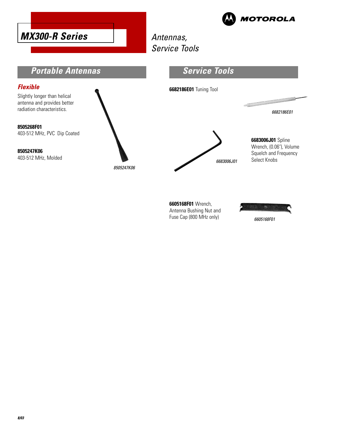



# Antennas, Service Tools



Antenna Bushing Nut and Fuse Cap (800 MHz only)

6605168F01

÷